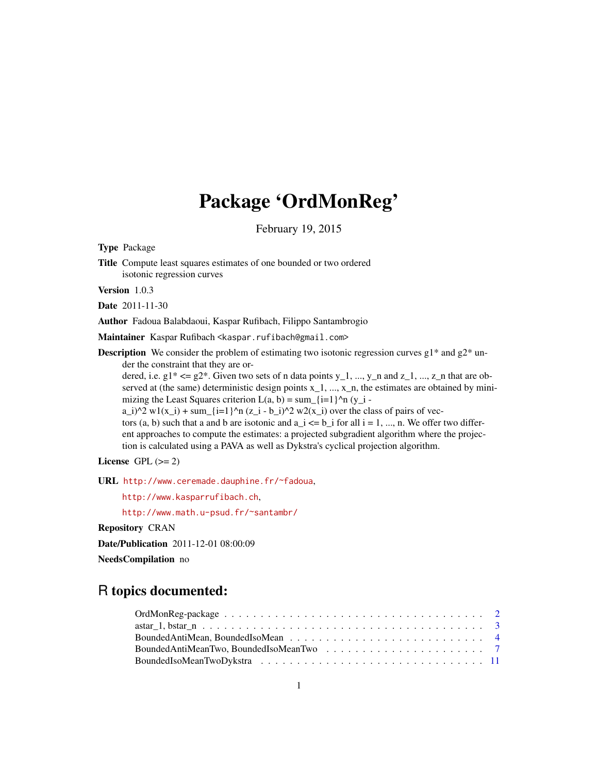# Package 'OrdMonReg'

February 19, 2015

Type Package

Title Compute least squares estimates of one bounded or two ordered isotonic regression curves

Version 1.0.3

Date 2011-11-30

Author Fadoua Balabdaoui, Kaspar Rufibach, Filippo Santambrogio

Maintainer Kaspar Rufibach <kaspar.rufibach@gmail.com>

**Description** We consider the problem of estimating two isotonic regression curves  $g_1$ <sup>\*</sup> and  $g_2$ <sup>\*</sup> under the constraint that they are or-

dered, i.e.  $g1^* \le g2^*$ . Given two sets of n data points  $y_1, ..., y_n$  and  $z_1, ..., z_n$  that are observed at (the same) deterministic design points  $x_1$ , ...,  $x_n$ , the estimates are obtained by minimizing the Least Squares criterion  $L(a, b) = \text{sum}_{i=1}^{\infty}$   $\uparrow$   $n(y_i - i)$ 

a\_i)^2 w1(x\_i) + sum\_{i=1}^n (z\_i - b\_i)^2 w2(x\_i) over the class of pairs of vec-

tors (a, b) such that a and b are isotonic and  $a_i \leq b_i$  for all  $i = 1, ..., n$ . We offer two different approaches to compute the estimates: a projected subgradient algorithm where the projection is calculated using a PAVA as well as Dykstra's cyclical projection algorithm.

License GPL  $(>= 2)$ 

URL <http://www.ceremade.dauphine.fr/~fadoua>,

<http://www.kasparrufibach.ch>,

<http://www.math.u-psud.fr/~santambr/>

Repository CRAN

Date/Publication 2011-12-01 08:00:09

NeedsCompilation no

# R topics documented: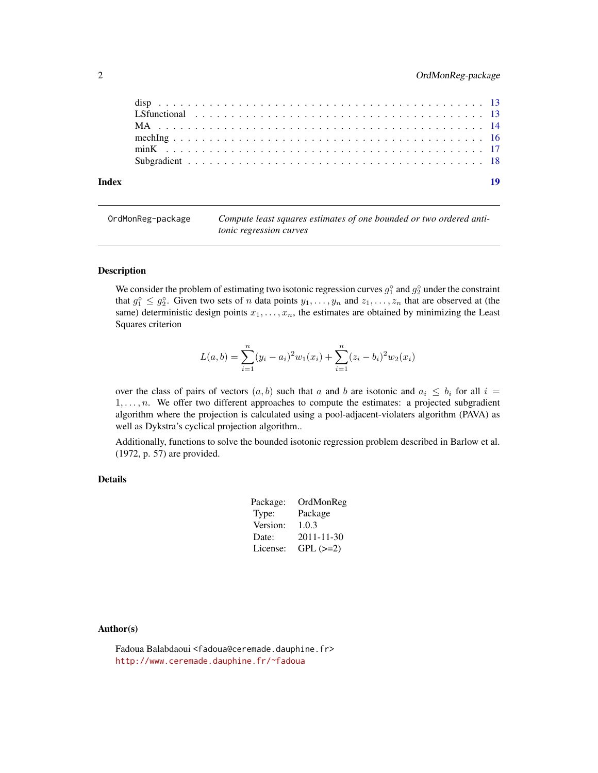<span id="page-1-0"></span>

| Index |  |  |  |  |  |  |  |  |  |  |  |  |  |  |  |  |  |  | 19 |
|-------|--|--|--|--|--|--|--|--|--|--|--|--|--|--|--|--|--|--|----|
|       |  |  |  |  |  |  |  |  |  |  |  |  |  |  |  |  |  |  |    |
|       |  |  |  |  |  |  |  |  |  |  |  |  |  |  |  |  |  |  |    |
|       |  |  |  |  |  |  |  |  |  |  |  |  |  |  |  |  |  |  |    |
|       |  |  |  |  |  |  |  |  |  |  |  |  |  |  |  |  |  |  |    |
|       |  |  |  |  |  |  |  |  |  |  |  |  |  |  |  |  |  |  |    |
|       |  |  |  |  |  |  |  |  |  |  |  |  |  |  |  |  |  |  |    |

OrdMonReg-package *Compute least squares estimates of one bounded or two ordered antitonic regression curves*

#### Description

We consider the problem of estimating two isotonic regression curves  $g_1^{\circ}$  and  $g_2^{\circ}$  under the constraint that  $g_1^{\circ} \leq g_2^{\circ}$ . Given two sets of *n* data points  $y_1, \ldots, y_n$  and  $z_1, \ldots, z_n$  that are observed at (the same) deterministic design points  $x_1, \ldots, x_n$ , the estimates are obtained by minimizing the Least Squares criterion

$$
L(a, b) = \sum_{i=1}^{n} (y_i - a_i)^2 w_1(x_i) + \sum_{i=1}^{n} (z_i - b_i)^2 w_2(x_i)
$$

over the class of pairs of vectors  $(a, b)$  such that a and b are isotonic and  $a_i \leq b_i$  for all  $i =$  $1, \ldots, n$ . We offer two different approaches to compute the estimates: a projected subgradient algorithm where the projection is calculated using a pool-adjacent-violaters algorithm (PAVA) as well as Dykstra's cyclical projection algorithm..

Additionally, functions to solve the bounded isotonic regression problem described in Barlow et al. (1972, p. 57) are provided.

# Details

| Package: | OrdMonReg  |
|----------|------------|
| Type:    | Package    |
| Version: | 1.0.3      |
| Date:    | 2011-11-30 |
| License: | $GPL (=2)$ |

#### Author(s)

Fadoua Balabdaoui <fadoua@ceremade.dauphine.fr> <http://www.ceremade.dauphine.fr/~fadoua>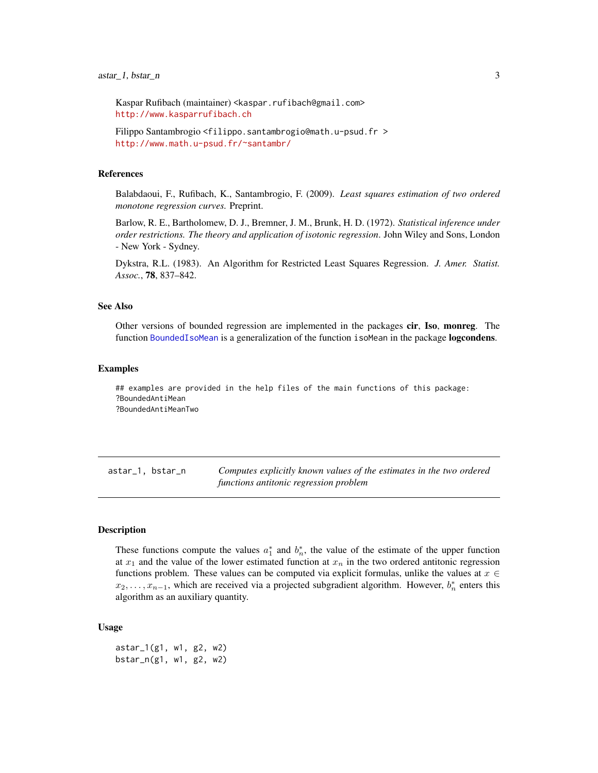<span id="page-2-0"></span>Kaspar Rufibach (maintainer) <kaspar.rufibach@gmail.com> <http://www.kasparrufibach.ch>

Filippo Santambrogio <filippo.santambrogio@math.u-psud.fr > <http://www.math.u-psud.fr/~santambr/>

#### References

Balabdaoui, F., Rufibach, K., Santambrogio, F. (2009). *Least squares estimation of two ordered monotone regression curves.* Preprint.

Barlow, R. E., Bartholomew, D. J., Bremner, J. M., Brunk, H. D. (1972). *Statistical inference under order restrictions. The theory and application of isotonic regression*. John Wiley and Sons, London - New York - Sydney.

Dykstra, R.L. (1983). An Algorithm for Restricted Least Squares Regression. *J. Amer. Statist. Assoc.*, 78, 837–842.

#### See Also

Other versions of bounded regression are implemented in the packages cir, Iso, monreg. The function [BoundedIsoMean](#page-3-1) is a generalization of the function isoMean in the package logcondens.

### Examples

## examples are provided in the help files of the main functions of this package: ?BoundedAntiMean ?BoundedAntiMeanTwo

astar\_1, bstar\_n *Computes explicitly known values of the estimates in the two ordered functions antitonic regression problem*

#### <span id="page-2-1"></span>Description

These functions compute the values  $a_1^*$  and  $b_n^*$ , the value of the estimate of the upper function at  $x_1$  and the value of the lower estimated function at  $x_n$  in the two ordered antitonic regression functions problem. These values can be computed via explicit formulas, unlike the values at  $x \in$  $x_2, \ldots, x_{n-1}$ , which are received via a projected subgradient algorithm. However,  $b_n^*$  enters this algorithm as an auxiliary quantity.

### Usage

astar\_1(g1, w1, g2, w2) bstar\_n(g1, w1, g2, w2)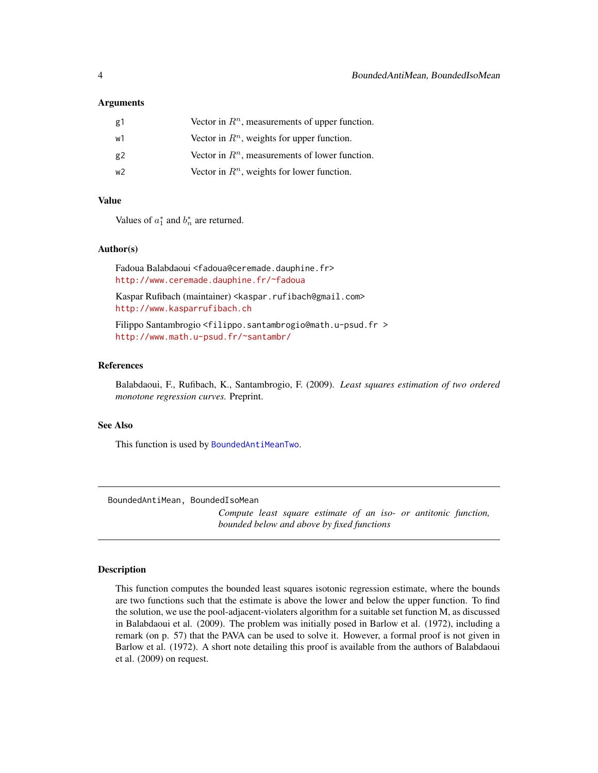### <span id="page-3-0"></span>Arguments

| g1 | Vector in $Rn$ , measurements of upper function. |
|----|--------------------------------------------------|
| w1 | Vector in $Rn$ , weights for upper function.     |
| g2 | Vector in $Rn$ , measurements of lower function. |
| w2 | Vector in $Rn$ , weights for lower function.     |

#### Value

Values of  $a_1^*$  and  $b_n^*$  are returned.

#### Author(s)

Fadoua Balabdaoui <fadoua@ceremade.dauphine.fr> <http://www.ceremade.dauphine.fr/~fadoua>

Kaspar Rufibach (maintainer) <kaspar.rufibach@gmail.com> <http://www.kasparrufibach.ch>

Filippo Santambrogio <filippo.santambrogio@math.u-psud.fr > <http://www.math.u-psud.fr/~santambr/>

#### References

Balabdaoui, F., Rufibach, K., Santambrogio, F. (2009). *Least squares estimation of two ordered monotone regression curves.* Preprint.

## See Also

This function is used by [BoundedAntiMeanTwo](#page-6-1).

BoundedAntiMean, BoundedIsoMean

*Compute least square estimate of an iso- or antitonic function, bounded below and above by fixed functions*

## <span id="page-3-1"></span>Description

This function computes the bounded least squares isotonic regression estimate, where the bounds are two functions such that the estimate is above the lower and below the upper function. To find the solution, we use the pool-adjacent-violaters algorithm for a suitable set function M, as discussed in Balabdaoui et al. (2009). The problem was initially posed in Barlow et al. (1972), including a remark (on p. 57) that the PAVA can be used to solve it. However, a formal proof is not given in Barlow et al. (1972). A short note detailing this proof is available from the authors of Balabdaoui et al. (2009) on request.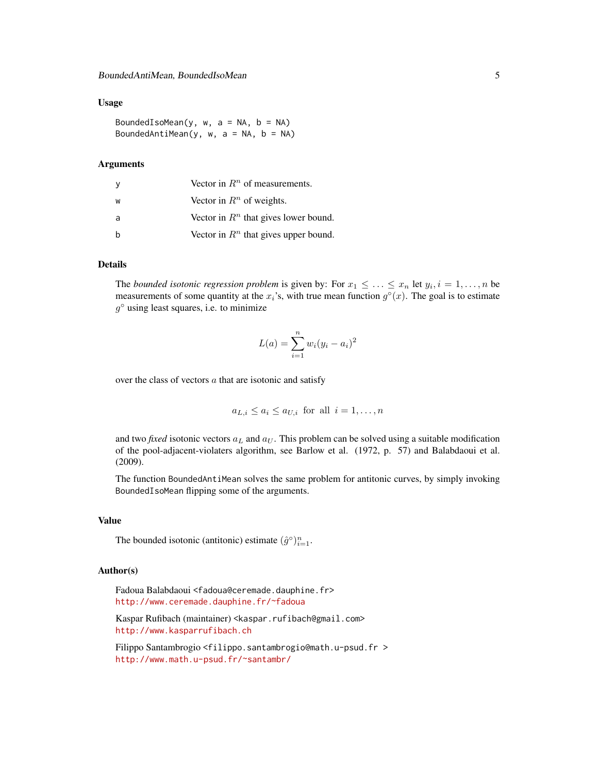### Usage

BoundedIsoMean(y,  $w$ ,  $a = NA$ ,  $b = NA$ ) BoundedAntiMean(y,  $w$ ,  $a = NA$ ,  $b = NA$ )

#### Arguments

| <sub>y</sub> | Vector in $Rn$ of measurements.                  |
|--------------|--------------------------------------------------|
| W            | Vector in $Rn$ of weights.                       |
| a            | Vector in $\mathbb{R}^n$ that gives lower bound. |
| h            | Vector in $Rn$ that gives upper bound.           |

# Details

The *bounded isotonic regression problem* is given by: For  $x_1 \leq \ldots \leq x_n$  let  $y_i, i = 1, \ldots, n$  be measurements of some quantity at the  $x_i$ 's, with true mean function  $g^{\circ}(x)$ . The goal is to estimate  $g^{\circ}$  using least squares, i.e. to minimize

$$
L(a) = \sum_{i=1}^{n} w_i (y_i - a_i)^2
$$

over the class of vectors  $a$  that are isotonic and satisfy

$$
a_{L,i} \leq a_i \leq a_{U,i}
$$
 for all  $i = 1, ..., n$ 

and two *fixed* isotonic vectors  $a<sub>L</sub>$  and  $a<sub>U</sub>$ . This problem can be solved using a suitable modification of the pool-adjacent-violaters algorithm, see Barlow et al. (1972, p. 57) and Balabdaoui et al. (2009).

The function BoundedAntiMean solves the same problem for antitonic curves, by simply invoking BoundedIsoMean flipping some of the arguments.

# Value

The bounded isotonic (antitonic) estimate  $(\hat{g}^{\circ})_{i=1}^n$ .

#### Author(s)

Fadoua Balabdaoui <fadoua@ceremade.dauphine.fr> <http://www.ceremade.dauphine.fr/~fadoua>

Kaspar Rufibach (maintainer) <kaspar.rufibach@gmail.com> <http://www.kasparrufibach.ch>

Filippo Santambrogio <filippo.santambrogio@math.u-psud.fr > <http://www.math.u-psud.fr/~santambr/>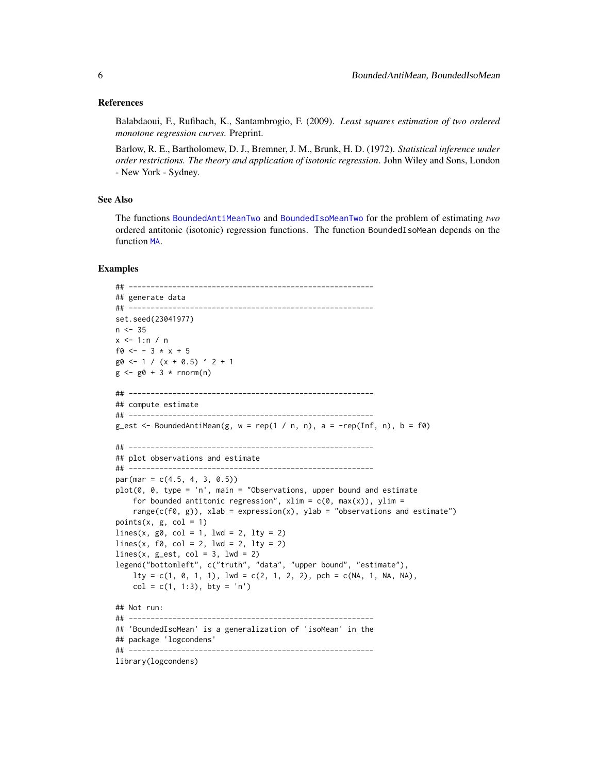#### <span id="page-5-0"></span>References

Balabdaoui, F., Rufibach, K., Santambrogio, F. (2009). *Least squares estimation of two ordered monotone regression curves.* Preprint.

Barlow, R. E., Bartholomew, D. J., Bremner, J. M., Brunk, H. D. (1972). *Statistical inference under order restrictions. The theory and application of isotonic regression*. John Wiley and Sons, London - New York - Sydney.

# See Also

The functions [BoundedAntiMeanTwo](#page-6-1) and [BoundedIsoMeanTwo](#page-6-1) for the problem of estimating *two* ordered antitonic (isotonic) regression functions. The function BoundedIsoMean depends on the function [MA](#page-13-1).

# Examples

```
## --------------------------------------------------------
## generate data
## --------------------------------------------------------
set.seed(23041977)
n < -35x < -1:n / nf0 <- - 3 * x + 5
g0 \le -1 / (x + 0.5) ^ 2 + 1
g \le -g0 + 3 * rnorm(n)## --------------------------------------------------------
## compute estimate
## --------------------------------------------------------
g_est <- BoundedAntiMean(g, w = rep(1 / n, n), a = -rep(Inf, n), b = f0)
## --------------------------------------------------------
## plot observations and estimate
## --------------------------------------------------------
par(max = c(4.5, 4, 3, 0.5))plot(0, 0, type = 'n', main = "Observations, upper bound and estimate
    for bounded antitonic regression", xlim = c(0, max(x)), ylim =range(c(f\emptyset, g)), xlab = expression(x), ylab = "observations and estimate")
points(x, g, col = 1)
lines(x, go, col = 1, lwd = 2, lty = 2)lines(x, f0, col = 2, lwd = 2, lty = 2)
lines(x, g_set, col = 3, lwd = 2)legend("bottomleft", c("truth", "data", "upper bound", "estimate"),
    lty = c(1, 0, 1, 1), lwd = c(2, 1, 2, 2), pch = c(NA, 1, NA, NA),col = c(1, 1:3), bty = 'n')## Not run:
## --------------------------------------------------------
## 'BoundedIsoMean' is a generalization of 'isoMean' in the
## package 'logcondens'
## --------------------------------------------------------
library(logcondens)
```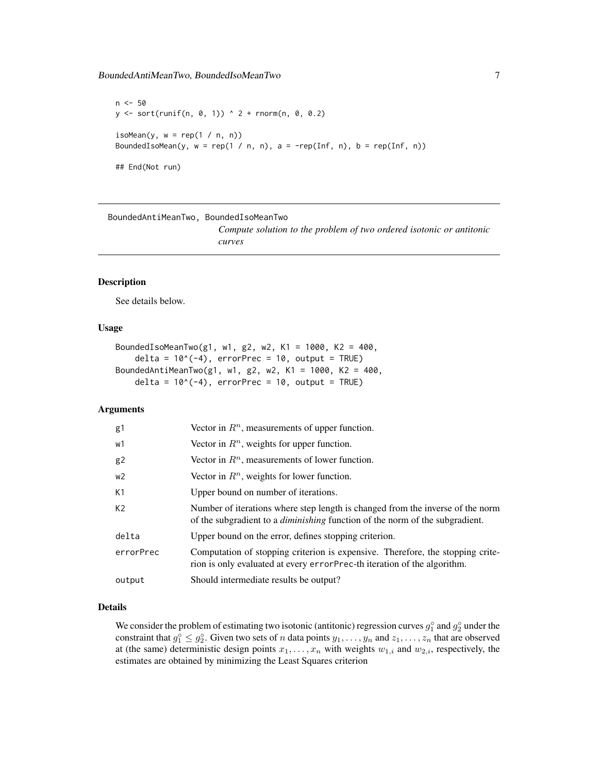# <span id="page-6-0"></span>BoundedAntiMeanTwo, BoundedIsoMeanTwo 7

 $n < -50$  $y \le -$  sort(runif(n, 0, 1)) ^ 2 + rnorm(n, 0, 0.2) isoMean(y,  $w = rep(1 / n, n))$ BoundedIsoMean(y,  $w = rep(1 / n, n)$ ,  $a = -rep(Inf, n)$ ,  $b = rep(Inf, n)$ ) ## End(Not run)

#### BoundedAntiMeanTwo, BoundedIsoMeanTwo

*Compute solution to the problem of two ordered isotonic or antitonic curves*

# <span id="page-6-1"></span>Description

See details below.

# Usage

```
BoundedIsoMeanTwo(g1, w1, g2, w2, K1 = 1000, K2 = 400,
   delta = 10^(-4), errorPrec = 10, output = TRUE)
BoundedAntiMeanTwo(g1, w1, g2, w2, K1 = 1000, K2 = 400,
   delta = 10^(-4), errorPrec = 10, output = TRUE)
```
#### Arguments

| g1             | Vector in $Rn$ , measurements of upper function.                                                                                                                      |
|----------------|-----------------------------------------------------------------------------------------------------------------------------------------------------------------------|
| w1             | Vector in $\mathbb{R}^n$ , weights for upper function.                                                                                                                |
| g <sub>2</sub> | Vector in $Rn$ , measurements of lower function.                                                                                                                      |
| w2             | Vector in $Rn$ , weights for lower function.                                                                                                                          |
| K1             | Upper bound on number of iterations.                                                                                                                                  |
| K <sub>2</sub> | Number of iterations where step length is changed from the inverse of the norm<br>of the subgradient to a <i>diminishing</i> function of the norm of the subgradient. |
| delta          | Upper bound on the error, defines stopping criterion.                                                                                                                 |
| errorPrec      | Computation of stopping criterion is expensive. Therefore, the stopping crite-<br>rion is only evaluated at every error Prec-th iteration of the algorithm.           |
| output         | Should intermediate results be output?                                                                                                                                |

# Details

We consider the problem of estimating two isotonic (antitonic) regression curves  $g_1^{\circ}$  and  $g_2^{\circ}$  under the constraint that  $g_1^{\circ} \leq g_2^{\circ}$ . Given two sets of *n* data points  $y_1, \ldots, y_n$  and  $z_1, \ldots, z_n$  that are observed at (the same) deterministic design points  $x_1, \ldots, x_n$  with weights  $w_{1,i}$  and  $w_{2,i}$ , respectively, the estimates are obtained by minimizing the Least Squares criterion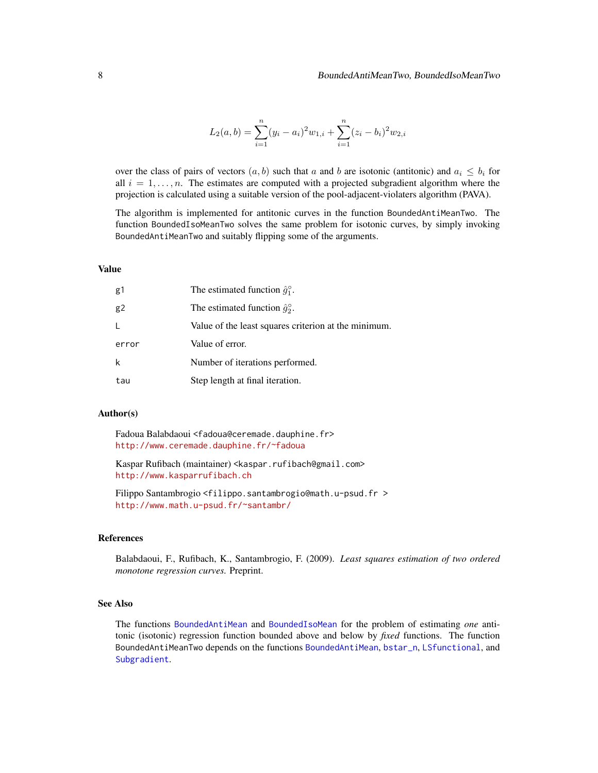$$
L_2(a,b) = \sum_{i=1}^{n} (y_i - a_i)^2 w_{1,i} + \sum_{i=1}^{n} (z_i - b_i)^2 w_{2,i}
$$

<span id="page-7-0"></span>over the class of pairs of vectors  $(a, b)$  such that a and b are isotonic (antitonic) and  $a_i \leq b_i$  for all  $i = 1, \ldots, n$ . The estimates are computed with a projected subgradient algorithm where the projection is calculated using a suitable version of the pool-adjacent-violaters algorithm (PAVA).

The algorithm is implemented for antitonic curves in the function BoundedAntiMeanTwo. The function BoundedIsoMeanTwo solves the same problem for isotonic curves, by simply invoking BoundedAntiMeanTwo and suitably flipping some of the arguments.

# Value

| g1    | The estimated function $\hat{g}_1^{\circ}$ .         |
|-------|------------------------------------------------------|
| g2    | The estimated function $\hat{q}_2^{\circ}$ .         |
| L     | Value of the least squares criterion at the minimum. |
| error | Value of error.                                      |
| k     | Number of iterations performed.                      |
| tau   | Step length at final iteration.                      |

# Author(s)

Fadoua Balabdaoui <fadoua@ceremade.dauphine.fr> <http://www.ceremade.dauphine.fr/~fadoua>

Kaspar Rufibach (maintainer) <kaspar.rufibach@gmail.com> <http://www.kasparrufibach.ch>

Filippo Santambrogio <filippo.santambrogio@math.u-psud.fr > <http://www.math.u-psud.fr/~santambr/>

#### References

Balabdaoui, F., Rufibach, K., Santambrogio, F. (2009). *Least squares estimation of two ordered monotone regression curves.* Preprint.

# See Also

The functions [BoundedAntiMean](#page-3-1) and [BoundedIsoMean](#page-3-1) for the problem of estimating *one* antitonic (isotonic) regression function bounded above and below by *fixed* functions. The function BoundedAntiMeanTwo depends on the functions [BoundedAntiMean](#page-3-1), [bstar\\_n](#page-2-1), [LSfunctional](#page-12-1), and [Subgradient](#page-17-1).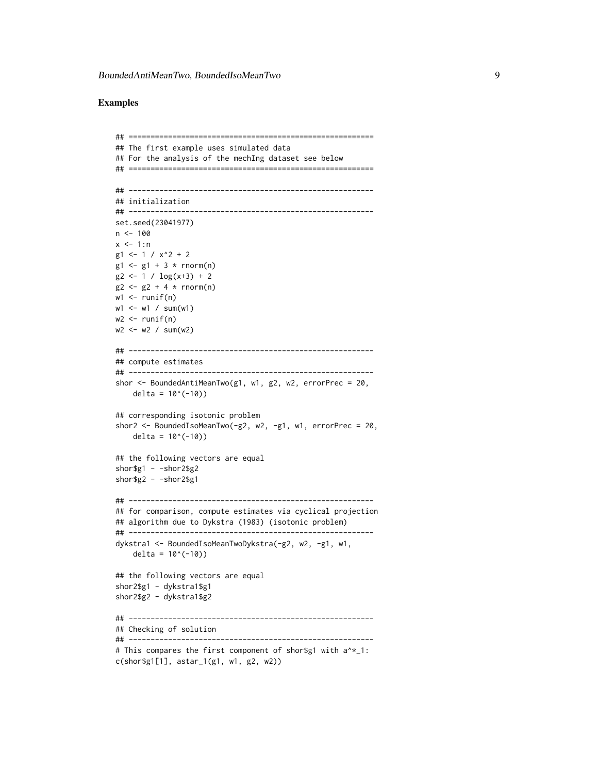# Examples

```
## ========================================================
## The first example uses simulated data
## For the analysis of the mechIng dataset see below
## ========================================================
## --------------------------------------------------------
## initialization
## --------------------------------------------------------
set.seed(23041977)
n <- 100
x < -1:ng1 \le -1 / x^2 + 2g1 \le -g1 + 3 * \text{rnorm}(n)g2 \le -1 / log(x+3) + 2g2 \le -g2 + 4 * rnorm(n)w1 \leftarrow runif(n)w1 <- w1 / sum(w1)
w2 \le- runif(n)
w2 < -w2 / sum(w2)## --------------------------------------------------------
## compute estimates
## --------------------------------------------------------
shor <- BoundedAntiMeanTwo(g1, w1, g2, w2, errorPrec = 20,
   delta = 10^(-10))
## corresponding isotonic problem
shor2 <- BoundedIsoMeanTwo(-g2, w2, -g1, w1, errorPrec = 20,
    delta = 10^(-10))
## the following vectors are equal
shor$g1 - -shor2$g2
shor$g2 - -shor2$g1
## --------------------------------------------------------
## for comparison, compute estimates via cyclical projection
## algorithm due to Dykstra (1983) (isotonic problem)
## --------------------------------------------------------
dykstra1 <- BoundedIsoMeanTwoDykstra(-g2, w2, -g1, w1,
    delta = 10^(-10))
## the following vectors are equal
shor2$g1 - dykstra1$g1
shor2$g2 - dykstra1$g2
## --------------------------------------------------------
## Checking of solution
## --------------------------------------------------------
# This compares the first component of shor$g1 with a^*_1:
c(shor$g1[1], astar_1(g1, w1, g2, w2))
```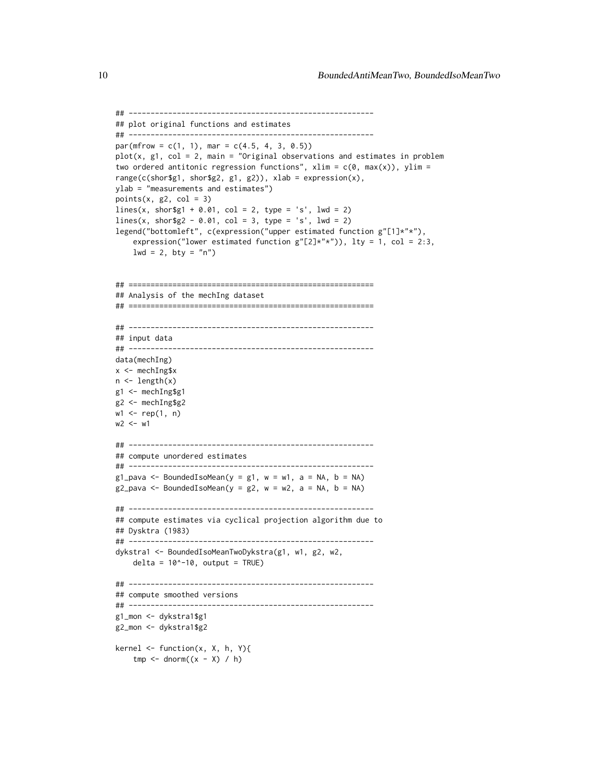```
## --------------------------------------------------------
## plot original functions and estimates
## --------------------------------------------------------
par(mfrow = c(1, 1), mar = c(4.5, 4, 3, 0.5))plot(x, g1, col = 2, main = "Original observations and estimates in problem
two ordered antitonic regression functions", x \lim = c(0, \max(x)), y \lim =range(c(shor$g1, shor$g2, g1, g2)), xlab = expression(x),
ylab = "measurements and estimates")
points(x, g2, col = 3)
lines(x, short\1 + 0.01, col = 2, type = 's', lwd = 2)
lines(x, short\ - 0.01, col = 3, type = 's', lwd = 2)legend("bottomleft", c(expression("upper estimated function g"[1]*"*"),
    expression("lower estimated function g''[2]*"*")), lty = 1, col = 2:3,
    lwd = 2, bty = "n")## ========================================================
## Analysis of the mechIng dataset
## ========================================================
## --------------------------------------------------------
## input data
## --------------------------------------------------------
data(mechIng)
x <- mechIng$x
n \leftarrow length(x)g1 <- mechIng$g1
g2 <- mechIng$g2
w1 <- rep(1, n)
w2 < - w1## --------------------------------------------------------
## compute unordered estimates
## --------------------------------------------------------
g1_pava <- BoundedIsoMean(y = g1, w = w1, a = NA, b = NA)
g2_pava <- BoundedIsoMean(y = g2, w = w2, a = NA, b = NA)
## --------------------------------------------------------
## compute estimates via cyclical projection algorithm due to
## Dysktra (1983)
## --------------------------------------------------------
dykstra1 <- BoundedIsoMeanTwoDykstra(g1, w1, g2, w2,
    delta = 10^{\circ}-10, output = TRUE)
## --------------------------------------------------------
## compute smoothed versions
## --------------------------------------------------------
g1_mon <- dykstra1$g1
g2_mon <- dykstra1$g2
kernel \leq function(x, X, h, Y){
   tmp \leq -\text{dnorm}((x - X) / h)
```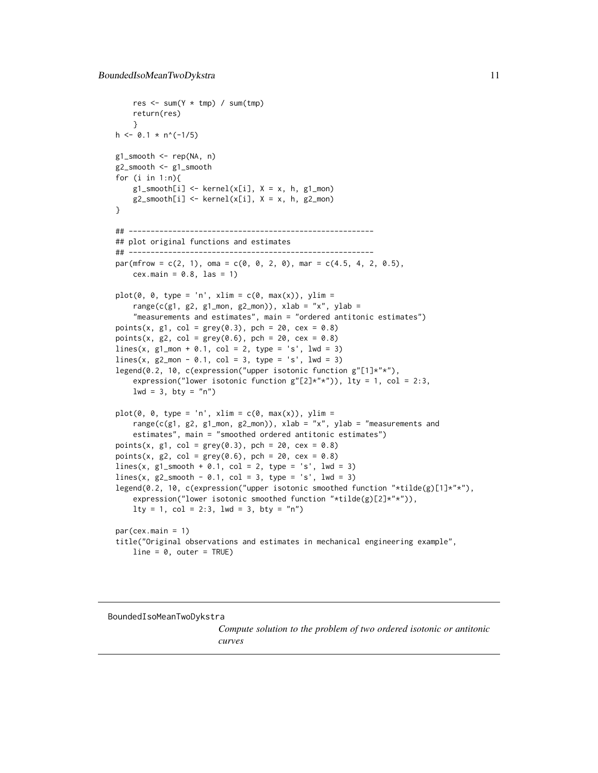```
res \leq sum(Y \star tmp) / sum(tmp)
    return(res)
    }
h \le -0.1 * n^(-1/5)g1_smooth <- rep(NA, n)
g2_smooth <- g1_smooth
for (i in 1:n){
    g1_smooth[i] <- kernel(x[i], X = x, h, g1_mon)
    g2_smooth[i] <- kernel(x[i], X = x, h, g2_mon)
}
## --------------------------------------------------------
## plot original functions and estimates
## --------------------------------------------------------
par(mfrow = c(2, 1), oma = c(0, 0, 2, 0), mar = c(4.5, 4, 2, 0.5),cex.main = 0.8, las = 1)
plot(0, 0, type = 'n', xlim = c(0, max(x)), ylim =range(c(g1, g2, g1_mon, g2_mon)), xlab = "x", ylab =
    "measurements and estimates", main = "ordered antitonic estimates")
points(x, g1, col = grey(0.3), pch = 20, cex = 0.8)points(x, g2, col = grey(0.6), pch = 20, cex = 0.8)lines(x, g1_mon + 0.1, col = 2, type = 's', lwd = 3)lines(x, g2_mon - 0.1, col = 3, type = 's', lwd = 3)legend(0.2, 10, c(expression("upper isotonic function g"[1]*"*"),
    expression("lower isotonic function g''[2]*"*")), lty = 1, col = 2:3,
    lwd = 3, bty = "n")plot(0, 0, type = 'n', xlim = c(0, max(x)), ylim =range(c(g1, g2, g1_mon, g2_mon)), xlab = "x", ylab = "measurements and
    estimates", main = "smoothed ordered antitonic estimates")
points(x, g1, col = grey(0.3), pch = 20, cex = 0.8)points(x, g2, col = grey(0.6), pch = 20, cex = 0.8)lines(x, g1_smooth + 0.1, col = 2, type = 's', lwd = 3)
lines(x, g2_smooth - 0.1, col = 3, type = 's', lwd = 3)
legend(0.2, 10, c(expression("upper isotonic smoothed function "*tilde(g)[1]*"*"),
    expression("lower isotonic smoothed function "*tilde(g)[2]*"*")),
    lty = 1, col = 2:3, lwd = 3, bty = "n")par(cex.main = 1)title("Original observations and estimates in mechanical engineering example",
    line = 0, outer = TRUE)
```
<span id="page-10-1"></span>BoundedIsoMeanTwoDykstra

*Compute solution to the problem of two ordered isotonic or antitonic curves*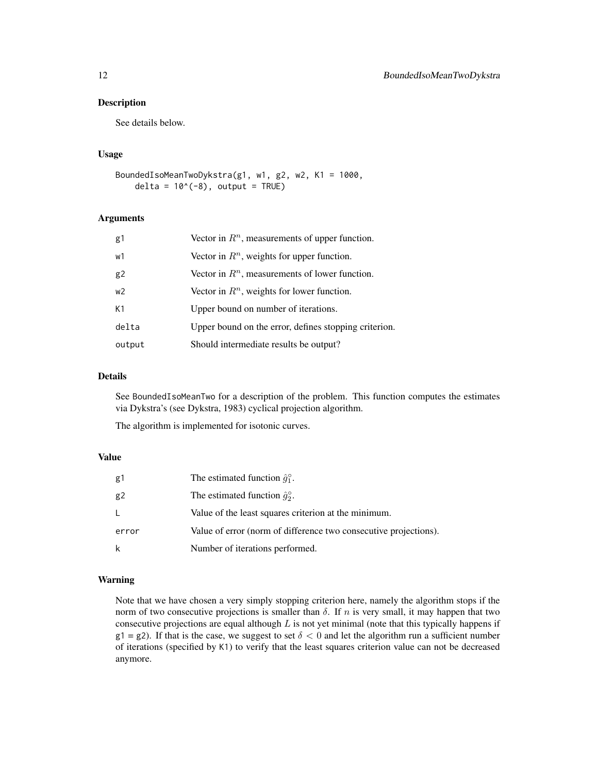See details below.

#### Usage

```
BoundedIsoMeanTwoDykstra(g1, w1, g2, w2, K1 = 1000,
   delta = 10^(-8), output = TRUE)
```
### Arguments

| g1             | Vector in $Rn$ , measurements of upper function.      |
|----------------|-------------------------------------------------------|
| w1             | Vector in $Rn$ , weights for upper function.          |
| g2             | Vector in $Rn$ , measurements of lower function.      |
| W <sup>2</sup> | Vector in $Rn$ , weights for lower function.          |
| K1             | Upper bound on number of iterations.                  |
| delta          | Upper bound on the error, defines stopping criterion. |
| output         | Should intermediate results be output?                |

# Details

See BoundedIsoMeanTwo for a description of the problem. This function computes the estimates via Dykstra's (see Dykstra, 1983) cyclical projection algorithm.

The algorithm is implemented for isotonic curves.

# Value

| g1    | The estimated function $\hat{q}_1^{\circ}$ .                     |
|-------|------------------------------------------------------------------|
| g2    | The estimated function $\hat{g}_2^{\circ}$ .                     |
|       | Value of the least squares criterion at the minimum.             |
| error | Value of error (norm of difference two consecutive projections). |
| k     | Number of iterations performed.                                  |

# Warning

Note that we have chosen a very simply stopping criterion here, namely the algorithm stops if the norm of two consecutive projections is smaller than  $\delta$ . If n is very small, it may happen that two consecutive projections are equal although  $L$  is not yet minimal (note that this typically happens if  $g1 = g2$ ). If that is the case, we suggest to set  $\delta < 0$  and let the algorithm run a sufficient number of iterations (specified by K1) to verify that the least squares criterion value can not be decreased anymore.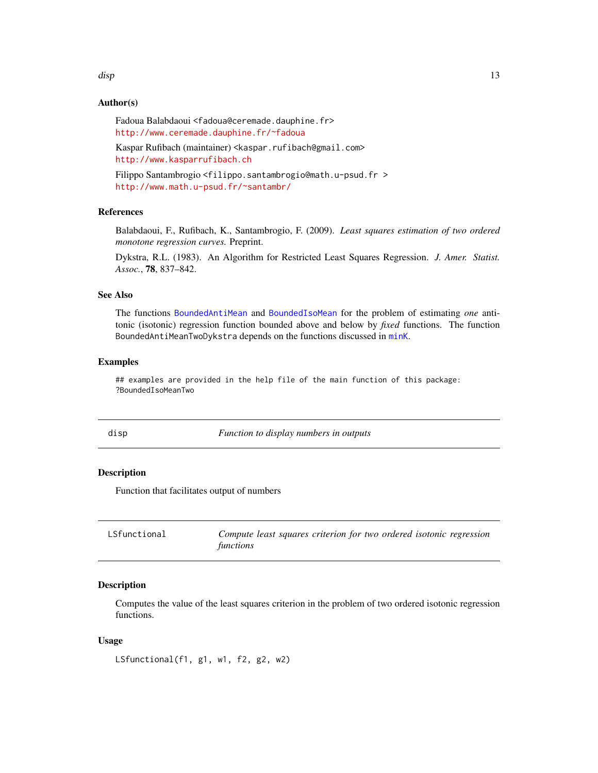#### <span id="page-12-0"></span>disp that is a state of the contract of the contract of the contract of the contract of the contract of the contract of the contract of the contract of the contract of the contract of the contract of the contract of the co

# Author(s)

Fadoua Balabdaoui <fadoua@ceremade.dauphine.fr> <http://www.ceremade.dauphine.fr/~fadoua>

Kaspar Rufibach (maintainer) <kaspar.rufibach@gmail.com> <http://www.kasparrufibach.ch>

Filippo Santambrogio <filippo.santambrogio@math.u-psud.fr > <http://www.math.u-psud.fr/~santambr/>

# References

Balabdaoui, F., Rufibach, K., Santambrogio, F. (2009). *Least squares estimation of two ordered monotone regression curves.* Preprint.

Dykstra, R.L. (1983). An Algorithm for Restricted Least Squares Regression. *J. Amer. Statist. Assoc.*, 78, 837–842.

# See Also

The functions [BoundedAntiMean](#page-3-1) and [BoundedIsoMean](#page-3-1) for the problem of estimating *one* antitonic (isotonic) regression function bounded above and below by *fixed* functions. The function BoundedAntiMeanTwoDykstra depends on the functions discussed in [minK](#page-16-1).

#### Examples

## examples are provided in the help file of the main function of this package: ?BoundedIsoMeanTwo

disp *Function to display numbers in outputs*

## Description

Function that facilitates output of numbers

<span id="page-12-1"></span>

| LSfunctional | Compute least squares criterion for two ordered isotonic regression |
|--------------|---------------------------------------------------------------------|
|              | functions                                                           |

# Description

Computes the value of the least squares criterion in the problem of two ordered isotonic regression functions.

#### Usage

LSfunctional(f1, g1, w1, f2, g2, w2)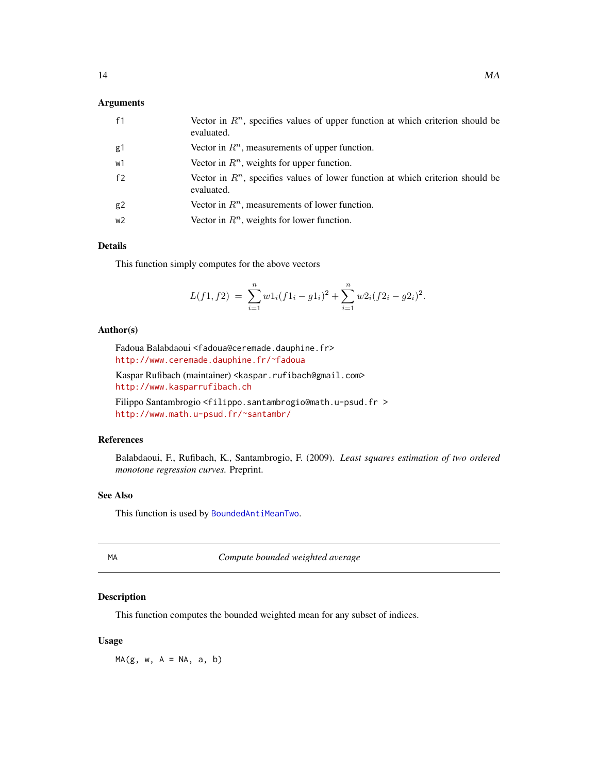# <span id="page-13-0"></span>Arguments

| f1             | Vector in $Rn$ , specifies values of upper function at which criterion should be<br>evaluated. |
|----------------|------------------------------------------------------------------------------------------------|
| g1             | Vector in $Rn$ , measurements of upper function.                                               |
| w1             | Vector in $Rn$ , weights for upper function.                                                   |
| f2             | Vector in $Rn$ , specifies values of lower function at which criterion should be<br>evaluated. |
| g <sub>2</sub> | Vector in $Rn$ , measurements of lower function.                                               |
| w2             | Vector in $Rn$ , weights for lower function.                                                   |

# Details

This function simply computes for the above vectors

$$
L(f1, f2) = \sum_{i=1}^{n} w1_i(f1_i - g1_i)^2 + \sum_{i=1}^{n} w2_i(f2_i - g2_i)^2.
$$

# Author(s)

Fadoua Balabdaoui <fadoua@ceremade.dauphine.fr> <http://www.ceremade.dauphine.fr/~fadoua>

Kaspar Rufibach (maintainer) <kaspar.rufibach@gmail.com> <http://www.kasparrufibach.ch>

Filippo Santambrogio <filippo.santambrogio@math.u-psud.fr > <http://www.math.u-psud.fr/~santambr/>

# References

Balabdaoui, F., Rufibach, K., Santambrogio, F. (2009). *Least squares estimation of two ordered monotone regression curves.* Preprint.

# See Also

This function is used by [BoundedAntiMeanTwo](#page-6-1).

<span id="page-13-1"></span>

MA *Compute bounded weighted average*

# Description

This function computes the bounded weighted mean for any subset of indices.

#### Usage

 $MA(g, w, A = NA, a, b)$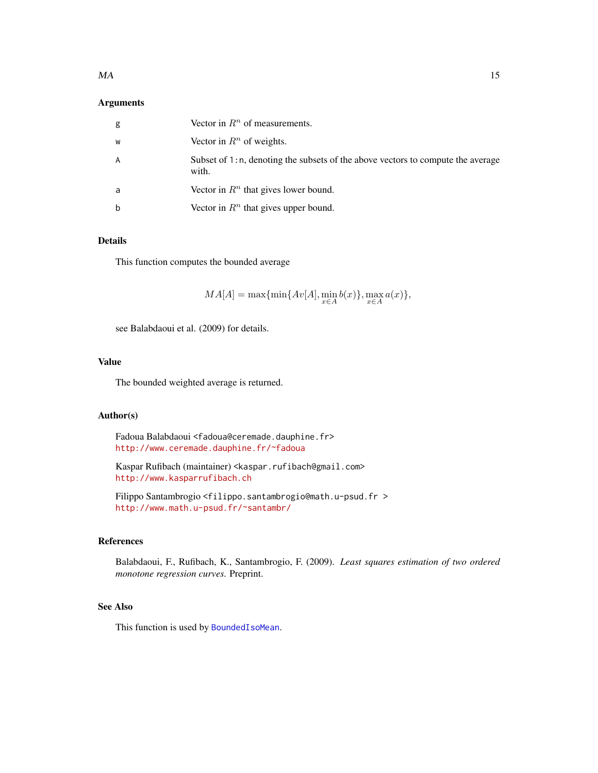# <span id="page-14-0"></span>Arguments

| g | Vector in $Rn$ of measurements.                                                          |
|---|------------------------------------------------------------------------------------------|
| W | Vector in $R^n$ of weights.                                                              |
| A | Subset of 1:n, denoting the subsets of the above vectors to compute the average<br>with. |
| a | Vector in $Rn$ that gives lower bound.                                                   |
| b | Vector in $Rn$ that gives upper bound.                                                   |

# Details

This function computes the bounded average

 $MA[A] = \max{\min{Av[A], \min_{x \in A} b(x)}, \max_{x \in A} a(x)},$ 

see Balabdaoui et al. (2009) for details.

# Value

The bounded weighted average is returned.

# Author(s)

Fadoua Balabdaoui <fadoua@ceremade.dauphine.fr> <http://www.ceremade.dauphine.fr/~fadoua>

Kaspar Rufibach (maintainer) <kaspar.rufibach@gmail.com> <http://www.kasparrufibach.ch>

Filippo Santambrogio <filippo.santambrogio@math.u-psud.fr > <http://www.math.u-psud.fr/~santambr/>

# References

Balabdaoui, F., Rufibach, K., Santambrogio, F. (2009). *Least squares estimation of two ordered monotone regression curves.* Preprint.

# See Also

This function is used by [BoundedIsoMean](#page-3-1).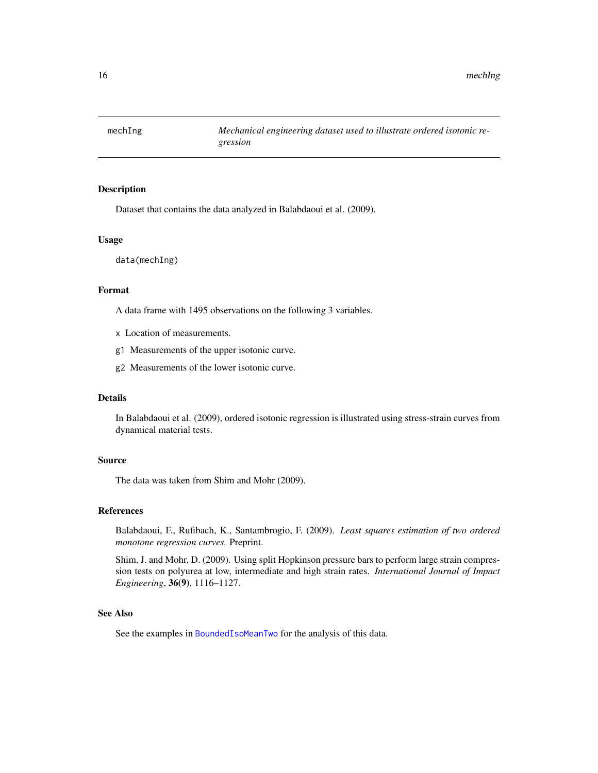<span id="page-15-0"></span>

Dataset that contains the data analyzed in Balabdaoui et al. (2009).

# Usage

data(mechIng)

# Format

A data frame with 1495 observations on the following 3 variables.

- x Location of measurements.
- g1 Measurements of the upper isotonic curve.
- g2 Measurements of the lower isotonic curve.

# Details

In Balabdaoui et al. (2009), ordered isotonic regression is illustrated using stress-strain curves from dynamical material tests.

## Source

The data was taken from Shim and Mohr (2009).

# References

Balabdaoui, F., Rufibach, K., Santambrogio, F. (2009). *Least squares estimation of two ordered monotone regression curves.* Preprint.

Shim, J. and Mohr, D. (2009). Using split Hopkinson pressure bars to perform large strain compression tests on polyurea at low, intermediate and high strain rates. *International Journal of Impact Engineering*, 36(9), 1116–1127.

# See Also

See the examples in [BoundedIsoMeanTwo](#page-6-1) for the analysis of this data.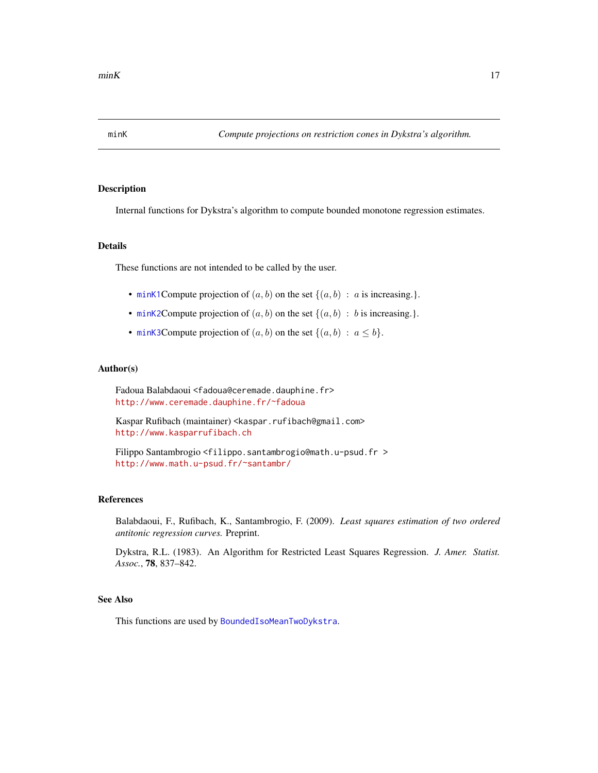<span id="page-16-2"></span><span id="page-16-1"></span><span id="page-16-0"></span>

Internal functions for Dykstra's algorithm to compute bounded monotone regression estimates.

# Details

These functions are not intended to be called by the user.

- [minK1](#page-16-2)Compute projection of  $(a, b)$  on the set  $\{(a, b) : a$  is increasing.}.
- [minK2](#page-16-2)Compute projection of  $(a, b)$  on the set  $\{(a, b) : b$  is increasing.}.
- [minK3](#page-16-2)Compute projection of  $(a, b)$  on the set  $\{(a, b) : a \leq b\}.$

# Author(s)

Fadoua Balabdaoui <fadoua@ceremade.dauphine.fr> <http://www.ceremade.dauphine.fr/~fadoua>

Kaspar Rufibach (maintainer) <kaspar.rufibach@gmail.com> <http://www.kasparrufibach.ch>

Filippo Santambrogio <filippo.santambrogio@math.u-psud.fr > <http://www.math.u-psud.fr/~santambr/>

# References

Balabdaoui, F., Rufibach, K., Santambrogio, F. (2009). *Least squares estimation of two ordered antitonic regression curves.* Preprint.

Dykstra, R.L. (1983). An Algorithm for Restricted Least Squares Regression. *J. Amer. Statist. Assoc.*, 78, 837–842.

#### See Also

This functions are used by [BoundedIsoMeanTwoDykstra](#page-10-1).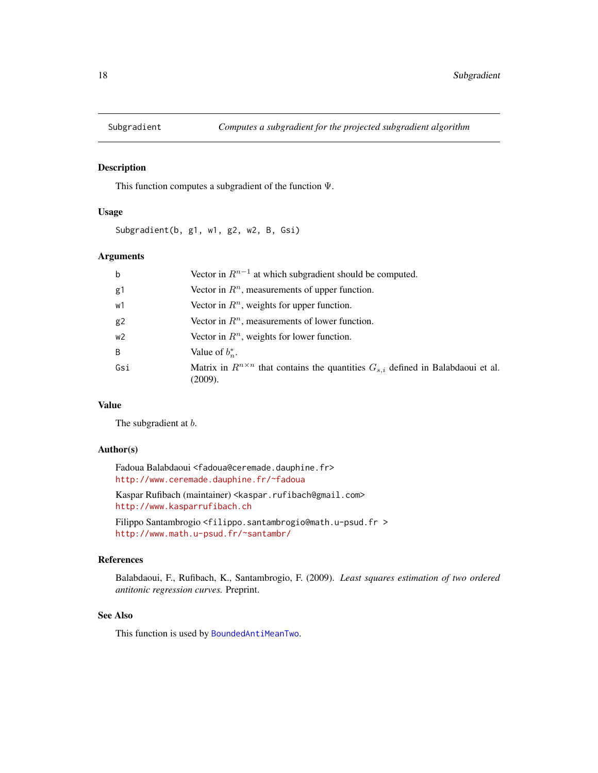<span id="page-17-1"></span><span id="page-17-0"></span>

This function computes a subgradient of the function Ψ.

# Usage

Subgradient(b, g1, w1, g2, w2, B, Gsi)

# Arguments

| $\mathsf b$    | Vector in $R^{n-1}$ at which subgradient should be computed.                                              |
|----------------|-----------------------------------------------------------------------------------------------------------|
| g1             | Vector in $Rn$ , measurements of upper function.                                                          |
| w1             | Vector in $Rn$ , weights for upper function.                                                              |
| g <sub>2</sub> | Vector in $Rn$ , measurements of lower function.                                                          |
| w <sub>2</sub> | Vector in $\mathbb{R}^n$ , weights for lower function.                                                    |
| B              | Value of $b_n^*$ .                                                                                        |
| Gsi            | Matrix in $R^{n \times n}$ that contains the quantities $G_{s,i}$ defined in Balabdaoui et al.<br>(2009). |

# Value

The subgradient at  $b$ .

## Author(s)

Fadoua Balabdaoui <fadoua@ceremade.dauphine.fr> <http://www.ceremade.dauphine.fr/~fadoua>

Kaspar Rufibach (maintainer) <kaspar.rufibach@gmail.com> <http://www.kasparrufibach.ch>

Filippo Santambrogio <filippo.santambrogio@math.u-psud.fr > <http://www.math.u-psud.fr/~santambr/>

# References

Balabdaoui, F., Rufibach, K., Santambrogio, F. (2009). *Least squares estimation of two ordered antitonic regression curves.* Preprint.

#### See Also

This function is used by [BoundedAntiMeanTwo](#page-6-1).